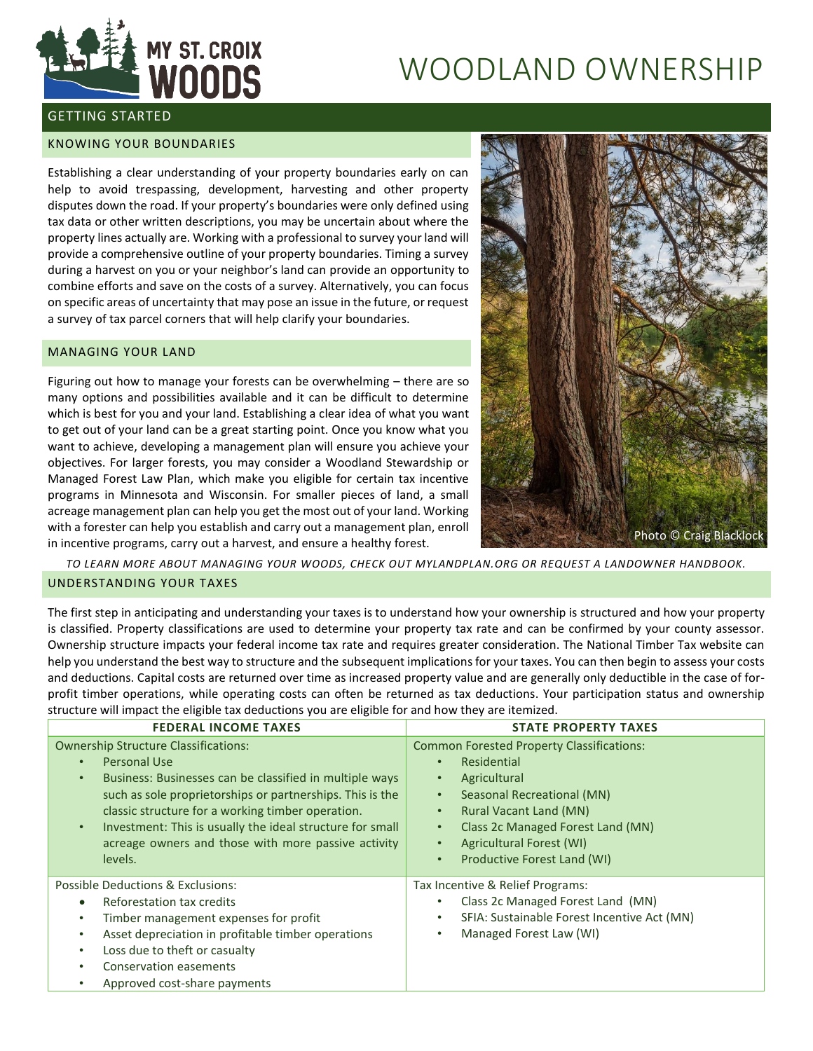

# WOODLAND OWNERSHIP

## GETTING STARTED

### KNOWING YOUR BOUNDARIES

Establishing a clear understanding of your property boundaries early on can help to avoid trespassing, development, harvesting and other property disputes down the road. If your property's boundaries were only defined using tax data or other written descriptions, you may be uncertain about where the property lines actually are. Working with a professional to survey your land will provide a comprehensive outline of your property boundaries. Timing a survey during a harvest on you or your neighbor's land can provide an opportunity to combine efforts and save on the costs of a survey. Alternatively, you can focus on specific areas of uncertainty that may pose an issue in the future, or request a survey of tax parcel corners that will help clarify your boundaries.

## MANAGING YOUR LAND

Figuring out how to manage your forests can be overwhelming – there are so many options and possibilities available and it can be difficult to determine which is best for you and your land. Establishing a clear idea of what you want to get out of your land can be a great starting point. Once you know what you want to achieve, developing a management plan will ensure you achieve your objectives. For larger forests, you may consider a Woodland Stewardship or Managed Forest Law Plan, which make you eligible for certain tax incentive programs in Minnesota and Wisconsin. For smaller pieces of land, a small acreage management plan can help you get the most out of your land. Working with a forester can help you establish and carry out a management plan, enroll in incentive programs, carry out a harvest, and ensure a healthy forest.



*TO LEARN MORE ABOUT MANAGING YOUR WOODS, CHECK OUT MYLANDPLAN.ORG OR REQUEST A LANDOWNER HANDBOOK.*

## UNDERSTANDING YOUR TAXES

The first step in anticipating and understanding your taxes is to understand how your ownership is structured and how your property is classified. Property classifications are used to determine your property tax rate and can be confirmed by your county assessor. Ownership structure impacts your federal income tax rate and requires greater consideration. The National Timber Tax website can help you understand the best way to structure and the subsequent implications for your taxes. You can then begin to assess your costs and deductions. Capital costs are returned over time as increased property value and are generally only deductible in the case of forprofit timber operations, while operating costs can often be returned as tax deductions. Your participation status and ownership structure will impact the eligible tax deductions you are eligible for and how they are itemized.

| <b>FEDERAL INCOME TAXES</b>                                                                                                                                                                                                                                                                                                                                                                                    | <b>STATE PROPERTY TAXES</b>                                                                                                                                                                                                                                                                                     |  |
|----------------------------------------------------------------------------------------------------------------------------------------------------------------------------------------------------------------------------------------------------------------------------------------------------------------------------------------------------------------------------------------------------------------|-----------------------------------------------------------------------------------------------------------------------------------------------------------------------------------------------------------------------------------------------------------------------------------------------------------------|--|
| <b>Ownership Structure Classifications:</b><br>Personal Use<br>$\bullet$<br>Business: Businesses can be classified in multiple ways<br>$\bullet$<br>such as sole proprietorships or partnerships. This is the<br>classic structure for a working timber operation.<br>Investment: This is usually the ideal structure for small<br>$\bullet$<br>acreage owners and those with more passive activity<br>levels. | <b>Common Forested Property Classifications:</b><br>Residential<br>$\bullet$<br>Agricultural<br>Seasonal Recreational (MN)<br>$\bullet$<br><b>Rural Vacant Land (MN)</b><br>$\bullet$<br>Class 2c Managed Forest Land (MN)<br>$\bullet$<br>Agricultural Forest (WI)<br>Productive Forest Land (WI)<br>$\bullet$ |  |
| Possible Deductions & Exclusions:<br>Reforestation tax credits<br>$\bullet$<br>Timber management expenses for profit<br>$\bullet$<br>Asset depreciation in profitable timber operations<br>$\bullet$<br>Loss due to theft or casualty<br>$\bullet$<br>Conservation easements<br>Approved cost-share payments                                                                                                   | Tax Incentive & Relief Programs:<br>Class 2c Managed Forest Land (MN)<br>SFIA: Sustainable Forest Incentive Act (MN)<br>Managed Forest Law (WI)                                                                                                                                                                 |  |